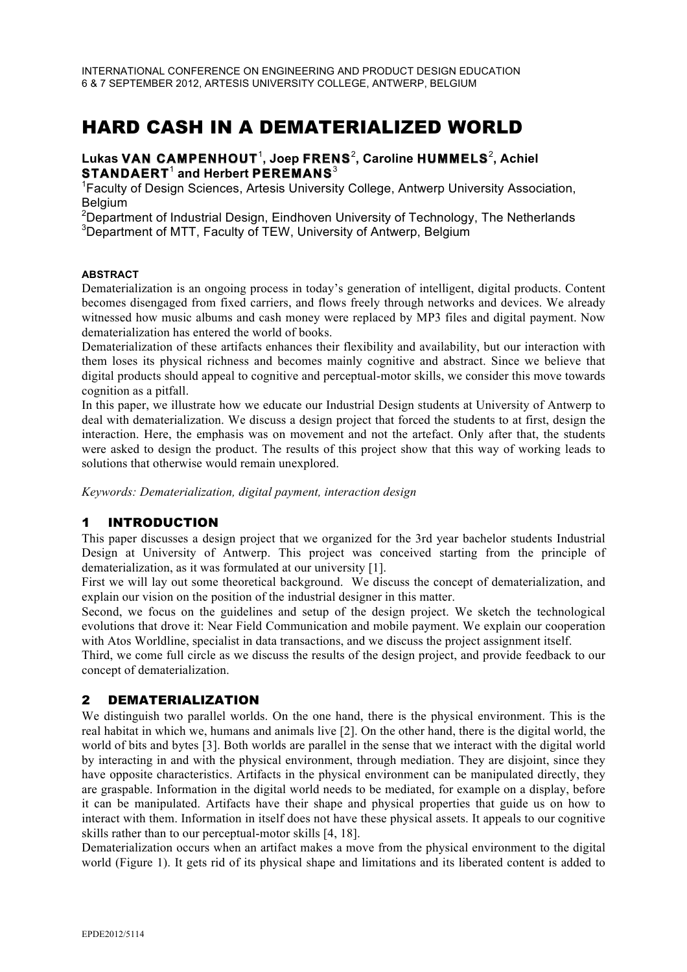# HARD CASH IN A DEMATERIALIZED WORLD

# Lukas VAN CAMPENHOUT<sup>1</sup>, Joep FRENS<sup>2</sup>, Caroline HUMMELS<sup>2</sup>, Achiel **STANDAERT**<sup>1</sup> **and Herbert PEREMANS**<sup>3</sup> <sup>1</sup>

<sup>1</sup> Faculty of Design Sciences, Artesis University College, Antwerp University Association, **Belgium** 

<sup>2</sup>Department of Industrial Design, Eindhoven University of Technology, The Netherlands 3 Department of MTT, Faculty of TEW, University of Antwerp, Belgium

#### **ABSTRACT**

Dematerialization is an ongoing process in today's generation of intelligent, digital products. Content becomes disengaged from fixed carriers, and flows freely through networks and devices. We already witnessed how music albums and cash money were replaced by MP3 files and digital payment. Now dematerialization has entered the world of books.

Dematerialization of these artifacts enhances their flexibility and availability, but our interaction with them loses its physical richness and becomes mainly cognitive and abstract. Since we believe that digital products should appeal to cognitive and perceptual-motor skills, we consider this move towards cognition as a pitfall.

In this paper, we illustrate how we educate our Industrial Design students at University of Antwerp to deal with dematerialization. We discuss a design project that forced the students to at first, design the interaction. Here, the emphasis was on movement and not the artefact. Only after that, the students were asked to design the product. The results of this project show that this way of working leads to solutions that otherwise would remain unexplored.

*Keywords: Dematerialization, digital payment, interaction design*

# 1 INTRODUCTION

This paper discusses a design project that we organized for the 3rd year bachelor students Industrial Design at University of Antwerp. This project was conceived starting from the principle of dematerialization, as it was formulated at our university [1].

First we will lay out some theoretical background. We discuss the concept of dematerialization, and explain our vision on the position of the industrial designer in this matter.

Second, we focus on the guidelines and setup of the design project. We sketch the technological evolutions that drove it: Near Field Communication and mobile payment. We explain our cooperation with Atos Worldline, specialist in data transactions, and we discuss the project assignment itself.

Third, we come full circle as we discuss the results of the design project, and provide feedback to our concept of dematerialization.

# 2 DEMATERIALIZATION

We distinguish two parallel worlds. On the one hand, there is the physical environment. This is the real habitat in which we, humans and animals live [2]. On the other hand, there is the digital world, the world of bits and bytes [3]. Both worlds are parallel in the sense that we interact with the digital world by interacting in and with the physical environment, through mediation. They are disjoint, since they have opposite characteristics. Artifacts in the physical environment can be manipulated directly, they are graspable. Information in the digital world needs to be mediated, for example on a display, before it can be manipulated. Artifacts have their shape and physical properties that guide us on how to interact with them. Information in itself does not have these physical assets. It appeals to our cognitive skills rather than to our perceptual-motor skills [4, 18].

Dematerialization occurs when an artifact makes a move from the physical environment to the digital world (Figure 1). It gets rid of its physical shape and limitations and its liberated content is added to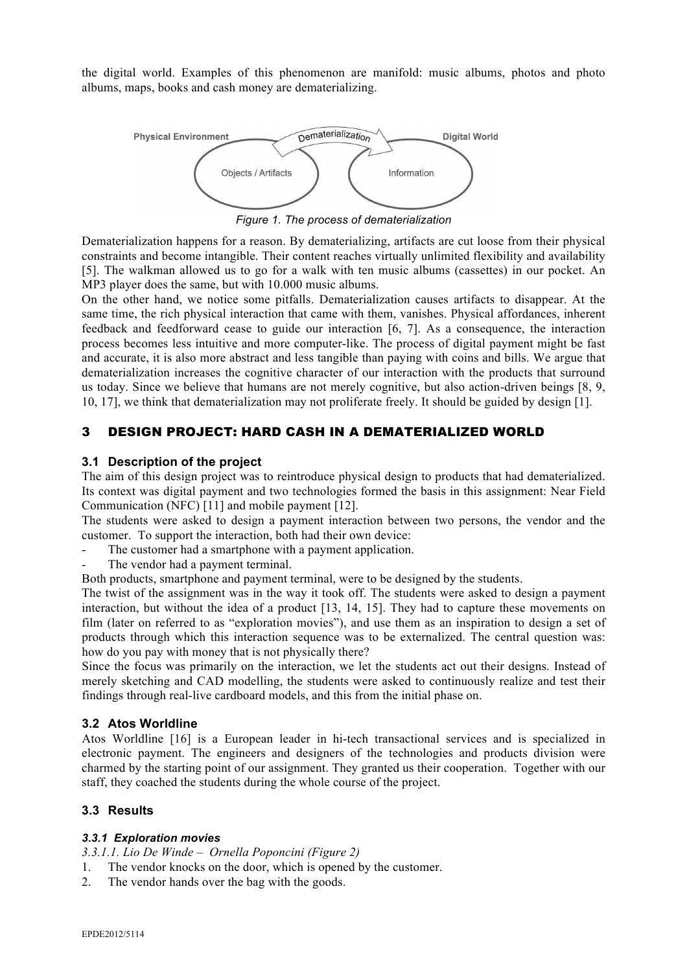the digital world. Examples of this phenomenon are manifold: music albums, photos and photo albums, maps, books and cash money are dematerializing.



*Figure 1. The process of dematerialization* 

Dematerialization happens for a reason. By dematerializing, artifacts are cut loose from their physical constraints and become intangible. Their content reaches virtually unlimited flexibility and availability [5]. The walkman allowed us to go for a walk with ten music albums (cassettes) in our pocket. An MP3 player does the same, but with 10.000 music albums.

On the other hand, we notice some pitfalls. Dematerialization causes artifacts to disappear. At the same time, the rich physical interaction that came with them, vanishes. Physical affordances, inherent feedback and feedforward cease to guide our interaction [6, 7]. As a consequence, the interaction process becomes less intuitive and more computer-like. The process of digital payment might be fast and accurate, it is also more abstract and less tangible than paying with coins and bills. We argue that dematerialization increases the cognitive character of our interaction with the products that surround us today. Since we believe that humans are not merely cognitive, but also action-driven beings [8, 9, 10, 17], we think that dematerialization may not proliferate freely. It should be guided by design [1].

# 3 DESIGN PROJECT: HARD CASH IN A DEMATERIALIZED WORLD

#### **3.1 Description of the project**

The aim of this design project was to reintroduce physical design to products that had dematerialized. Its context was digital payment and two technologies formed the basis in this assignment: Near Field Communication (NFC) [11] and mobile payment [12].

The students were asked to design a payment interaction between two persons, the vendor and the customer. To support the interaction, both had their own device:

- The customer had a smartphone with a payment application.
- The vendor had a payment terminal.
- Both products, smartphone and payment terminal, were to be designed by the students.

The twist of the assignment was in the way it took off. The students were asked to design a payment interaction, but without the idea of a product [13, 14, 15]. They had to capture these movements on film (later on referred to as "exploration movies"), and use them as an inspiration to design a set of products through which this interaction sequence was to be externalized. The central question was: how do you pay with money that is not physically there?

Since the focus was primarily on the interaction, we let the students act out their designs. Instead of merely sketching and CAD modelling, the students were asked to continuously realize and test their findings through real-live cardboard models, and this from the initial phase on.

#### **3.2 Atos Worldline**

Atos Worldline [16] is a European leader in hi-tech transactional services and is specialized in electronic payment. The engineers and designers of the technologies and products division were charmed by the starting point of our assignment. They granted us their cooperation. Together with our staff, they coached the students during the whole course of the project.

#### **3.3 Results**

#### *3.3.1 Exploration movies*

*3.3.1.1. Lio De Winde – Ornella Poponcini (Figure 2)* 

- 1. The vendor knocks on the door, which is opened by the customer.
- 2. The vendor hands over the bag with the goods.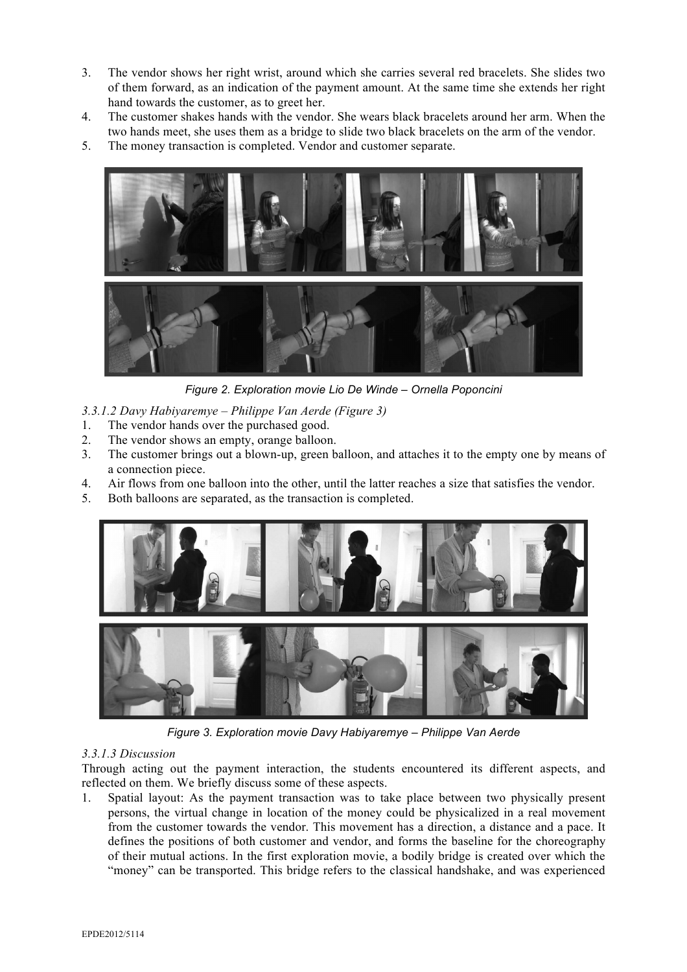- 3. The vendor shows her right wrist, around which she carries several red bracelets. She slides two of them forward, as an indication of the payment amount. At the same time she extends her right hand towards the customer, as to greet her.
- 4. The customer shakes hands with the vendor. She wears black bracelets around her arm. When the two hands meet, she uses them as a bridge to slide two black bracelets on the arm of the vendor.
- 5. The money transaction is completed. Vendor and customer separate.



*Figure 2. Exploration movie Lio De Winde – Ornella Poponcini*

*3.3.1.2 Davy Habiyaremye – Philippe Van Aerde (Figure 3)*

- 1. The vendor hands over the purchased good.
- 2. The vendor shows an empty, orange balloon.
- 3. The customer brings out a blown-up, green balloon, and attaches it to the empty one by means of a connection piece.
- 4. Air flows from one balloon into the other, until the latter reaches a size that satisfies the vendor.
- 5. Both balloons are separated, as the transaction is completed.



*Figure 3. Exploration movie Davy Habiyaremye – Philippe Van Aerde*

#### *3.3.1.3 Discussion*

Through acting out the payment interaction, the students encountered its different aspects, and reflected on them. We briefly discuss some of these aspects.

1. Spatial layout: As the payment transaction was to take place between two physically present persons, the virtual change in location of the money could be physicalized in a real movement from the customer towards the vendor. This movement has a direction, a distance and a pace. It defines the positions of both customer and vendor, and forms the baseline for the choreography of their mutual actions. In the first exploration movie, a bodily bridge is created over which the "money" can be transported. This bridge refers to the classical handshake, and was experienced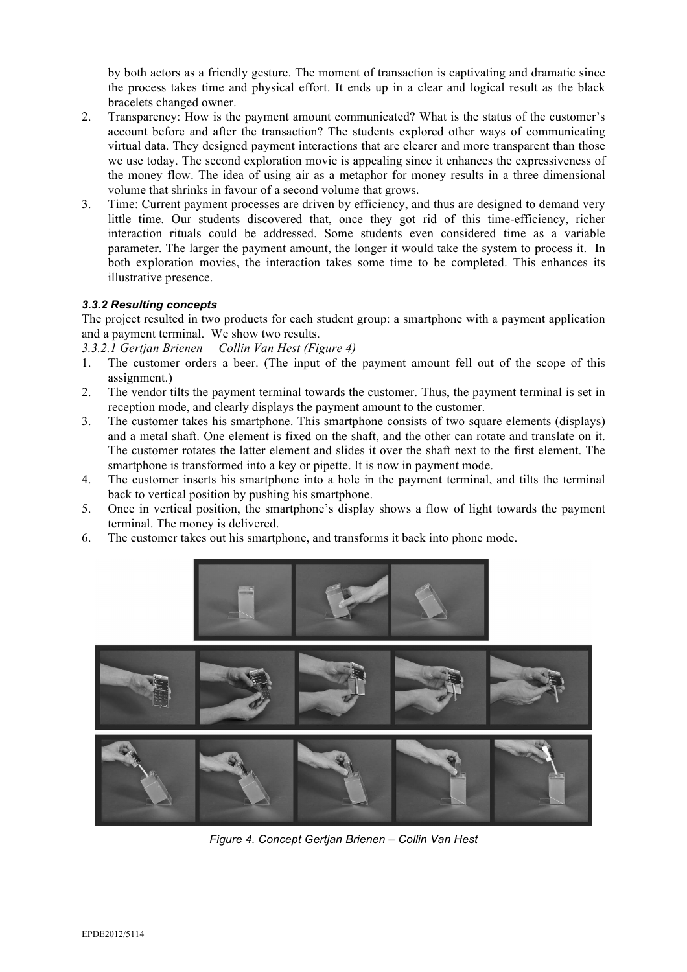by both actors as a friendly gesture. The moment of transaction is captivating and dramatic since the process takes time and physical effort. It ends up in a clear and logical result as the black bracelets changed owner.

- 2. Transparency: How is the payment amount communicated? What is the status of the customer's account before and after the transaction? The students explored other ways of communicating virtual data. They designed payment interactions that are clearer and more transparent than those we use today. The second exploration movie is appealing since it enhances the expressiveness of the money flow. The idea of using air as a metaphor for money results in a three dimensional volume that shrinks in favour of a second volume that grows.
- 3. Time: Current payment processes are driven by efficiency, and thus are designed to demand very little time. Our students discovered that, once they got rid of this time-efficiency, richer interaction rituals could be addressed. Some students even considered time as a variable parameter. The larger the payment amount, the longer it would take the system to process it. In both exploration movies, the interaction takes some time to be completed. This enhances its illustrative presence.

#### *3.3.2 Resulting concepts*

The project resulted in two products for each student group: a smartphone with a payment application and a payment terminal. We show two results.

*3.3.2.1 Gertjan Brienen – Collin Van Hest (Figure 4)*

- 1. The customer orders a beer. (The input of the payment amount fell out of the scope of this assignment.)
- 2. The vendor tilts the payment terminal towards the customer. Thus, the payment terminal is set in reception mode, and clearly displays the payment amount to the customer.
- 3. The customer takes his smartphone. This smartphone consists of two square elements (displays) and a metal shaft. One element is fixed on the shaft, and the other can rotate and translate on it. The customer rotates the latter element and slides it over the shaft next to the first element. The smartphone is transformed into a key or pipette. It is now in payment mode.
- 4. The customer inserts his smartphone into a hole in the payment terminal, and tilts the terminal back to vertical position by pushing his smartphone.
- 5. Once in vertical position, the smartphone's display shows a flow of light towards the payment terminal. The money is delivered.
- 6. The customer takes out his smartphone, and transforms it back into phone mode.





*Figure 4. Concept Gertjan Brienen – Collin Van Hest*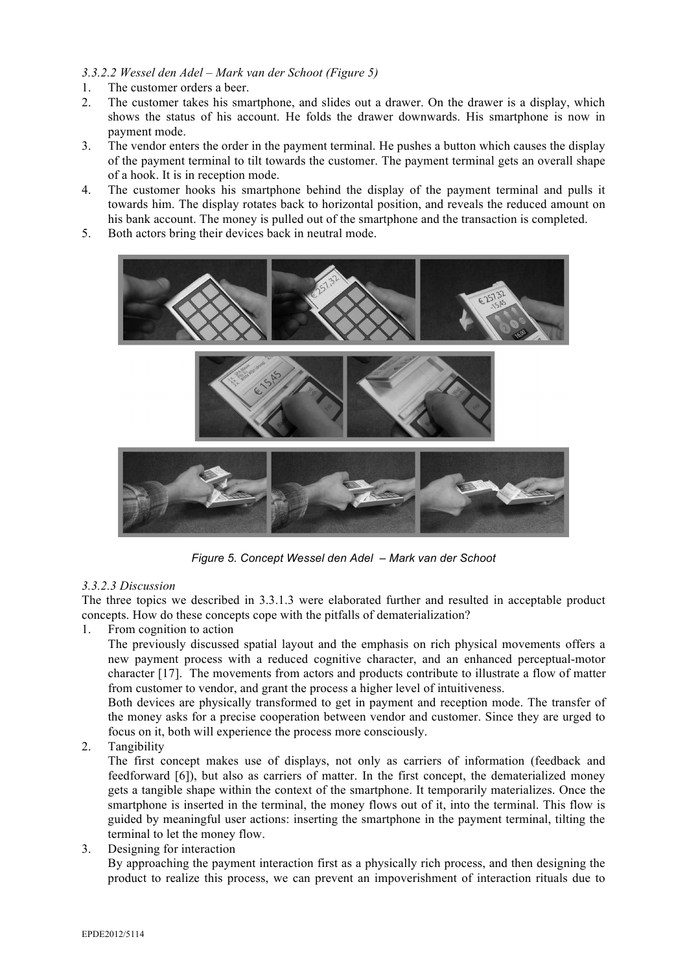#### *3.3.2.2 Wessel den Adel – Mark van der Schoot (Figure 5)*

- 1. The customer orders a beer.
- 2. The customer takes his smartphone, and slides out a drawer. On the drawer is a display, which shows the status of his account. He folds the drawer downwards. His smartphone is now in payment mode.
- 3. The vendor enters the order in the payment terminal. He pushes a button which causes the display of the payment terminal to tilt towards the customer. The payment terminal gets an overall shape of a hook. It is in reception mode.
- 4. The customer hooks his smartphone behind the display of the payment terminal and pulls it towards him. The display rotates back to horizontal position, and reveals the reduced amount on his bank account. The money is pulled out of the smartphone and the transaction is completed.
- 5. Both actors bring their devices back in neutral mode.



*Figure 5. Concept Wessel den Adel – Mark van der Schoot*

#### *3.3.2.3 Discussion*

The three topics we described in 3.3.1.3 were elaborated further and resulted in acceptable product concepts. How do these concepts cope with the pitfalls of dematerialization?

1. From cognition to action

The previously discussed spatial layout and the emphasis on rich physical movements offers a new payment process with a reduced cognitive character, and an enhanced perceptual-motor character [17]. The movements from actors and products contribute to illustrate a flow of matter from customer to vendor, and grant the process a higher level of intuitiveness.

Both devices are physically transformed to get in payment and reception mode. The transfer of the money asks for a precise cooperation between vendor and customer. Since they are urged to focus on it, both will experience the process more consciously.

2. Tangibility

The first concept makes use of displays, not only as carriers of information (feedback and feedforward [6]), but also as carriers of matter. In the first concept, the dematerialized money gets a tangible shape within the context of the smartphone. It temporarily materializes. Once the smartphone is inserted in the terminal, the money flows out of it, into the terminal. This flow is guided by meaningful user actions: inserting the smartphone in the payment terminal, tilting the terminal to let the money flow.

3. Designing for interaction

By approaching the payment interaction first as a physically rich process, and then designing the product to realize this process, we can prevent an impoverishment of interaction rituals due to